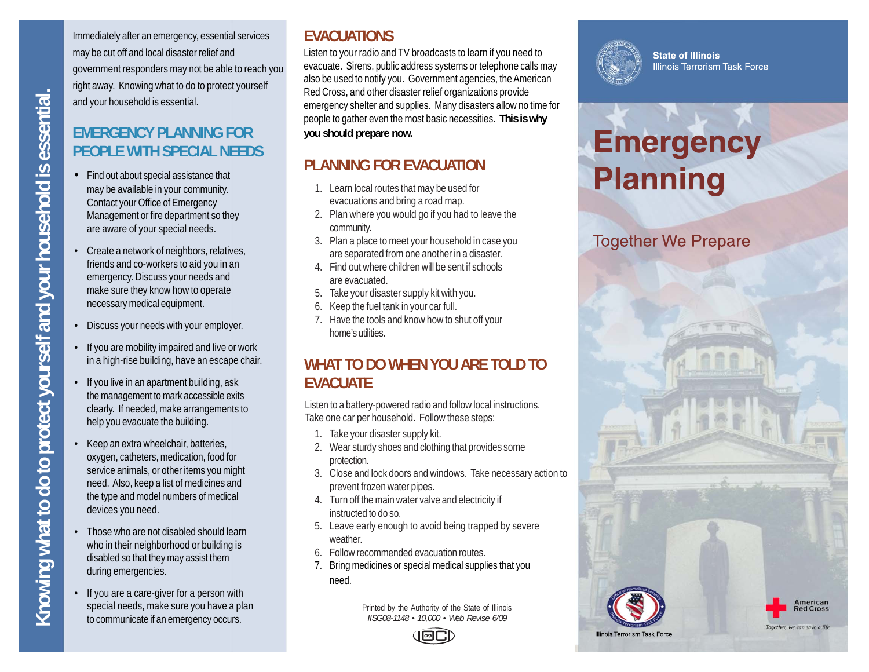**Knowing what to do to protect yourself and your household is essential.** <nowing what to do to protect yourself and your household is essential

Immediately after an emergency, essential services may be cut off and local disaster relief and government responders may not be able to reach you right away. Knowing what to do to protect yourself and your household is essential.

### **EMERGENCY PLANNING FOR PEOPLE WITH SPECIAL NEEDS**

- Find out about special assistance that may be available in your community. Contact your Office of Emergency Management or fire department so they are aware of your special needs.
- Create a network of neighbors, relatives, friends and co-workers to aid you in an emergency. Discuss your needs and make sure they know how to operate necessary medical equipment.
- Discuss your needs with your employer.
- If you are mobility impaired and live or work in a high-rise building, have an escape chair.
- If you live in an apartment building, ask the management to mark accessible exits clearly. If needed, make arrangements to help you evacuate the building.
- Keep an extra wheelchair, batteries, oxygen, catheters, medication, food for service animals, or other items you might need. Also, keep a list of medicines and the type and model numbers of medical devices you need.
- Those who are not disabled should learn who in their neighborhood or building is disabled so that they may assist them during emergencies.
- If you are a care-giver for a person with special needs, make sure you have a plan to communicate if an emergency occurs.

#### **EVACUATIONS**

Listen to your radio and TV broadcasts to learn if you need to evacuate. Sirens, public address systems or telephone calls may also be used to notify you. Government agencies, the American Red Cross, and other disaster relief organizations provide emergency shelter and supplies. Many disasters allow no time for people to gather even the most basic necessities. **This is why you should prepare now.**

#### **PLANNING FOR EVACUATION**

- 1. Learn local routes that may be used for evacuations and bring a road map.
- 2. Plan where you would go if you had to leave the community.
- 3. Plan a place to meet your household in case you are separated from one another in a disaster.
- 4. Find out where children will be sent if schools are evacuated.
- 5. Take your disaster supply kit with you.
- 6. Keep the fuel tank in your car full.
- 7. Have the tools and know how to shut off your home's utilities.

#### **WHAT TO DO WHEN YOU ARE TOLD TO EVACUATE**

Listen to a battery-powered radio and follow local instructions. Take one car per household. Follow these steps:

- 1. Take your disaster supply kit.
- 2. Wear sturdy shoes and clothing that provides some protection.
- 3. Close and lock doors and windows. Take necessary action to prevent frozen water pipes.
- 4. Turn off the main water valve and electricity if instructed to do so.
- 5. Leave early enough to avoid being trapped by severe weather.
- 6. Follow recommended evacuation routes.
- 7. Bring medicines or special medical supplies that you need.

Printed by the Authority of the State of Illinois *IISG08-1148 • 10,000 • Web Revise 6/09*



**State of Illinois Illinois Terrorism Task Force** 

# **Emergency Planning**

#### **Together We Prepare**





Together, we can save a life